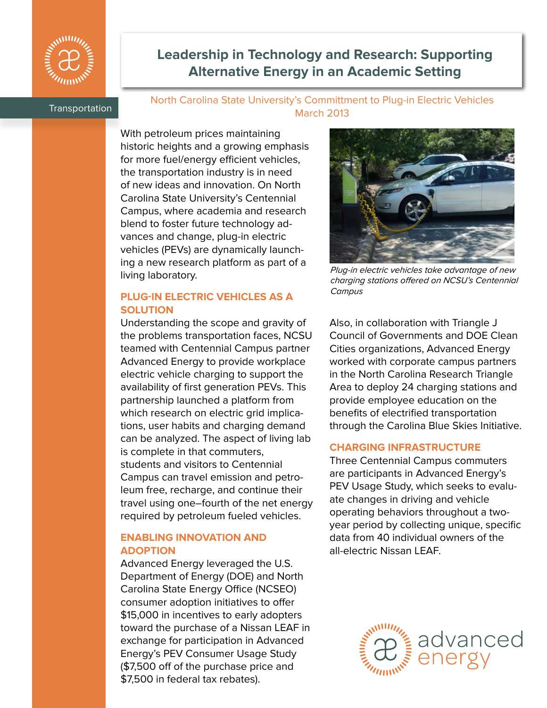

# **Leadership in Technology and Research: Supporting Alternative Energy in an Academic Setting**

## Transportation North Carolina State University's Committment to Plug-in Electric Vehicles March 2013

With petroleum prices maintaining historic heights and a growing emphasis for more fuel/energy efficient vehicles, the transportation industry is in need of new ideas and innovation. On North Carolina State University's Centennial Campus, where academia and research blend to foster future technology advances and change, plug-in electric vehicles (PEVs) are dynamically launching a new research platform as part of a living laboratory.

## **PLUG-IN ELECTRIC VEHICLES AS A SOLUTION**

Understanding the scope and gravity of the problems transportation faces, NCSU teamed with Centennial Campus partner Advanced Energy to provide workplace electric vehicle charging to support the availability of first generation PEVs. This partnership launched a platform from which research on electric grid implications, user habits and charging demand can be analyzed. The aspect of living lab is complete in that commuters, students and visitors to Centennial Campus can travel emission and petroleum free, recharge, and continue their travel using one–fourth of the net energy required by petroleum fueled vehicles.

## **ENABLING INNOVATION AND ADOPTION**

Advanced Energy leveraged the U.S. Department of Energy (DOE) and North Carolina State Energy Office (NCSEO) consumer adoption initiatives to offer \$15,000 in incentives to early adopters toward the purchase of a Nissan LEAF in exchange for participation in Advanced Energy's PEV Consumer Usage Study (\$7,500 off of the purchase price and \$7,500 in federal tax rebates).



Plug-in electric vehicles take advantage of new charging stations offered on NCSU's Centennial **Campus** 

Also, in collaboration with Triangle J Council of Governments and DOE Clean Cities organizations, Advanced Energy worked with corporate campus partners in the North Carolina Research Triangle Area to deploy 24 charging stations and provide employee education on the benefits of electrified transportation through the Carolina Blue Skies Initiative.

## **CHARGING INFRASTRUCTURE**

Three Centennial Campus commuters are participants in Advanced Energy's PEV Usage Study, which seeks to evaluate changes in driving and vehicle operating behaviors throughout a twoyear period by collecting unique, specific data from 40 individual owners of the all-electric Nissan LEAF.

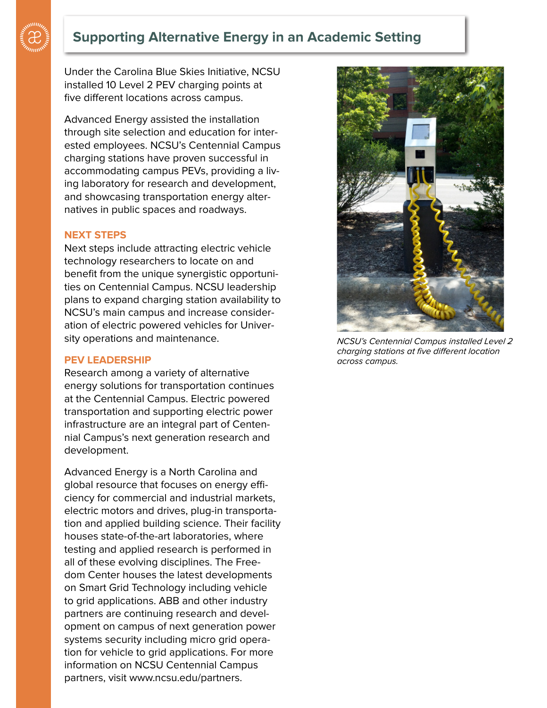

## **Supporting Alternative Energy in an Academic Setting**

Under the Carolina Blue Skies Initiative, NCSU installed 10 Level 2 PEV charging points at five different locations across campus.

Advanced Energy assisted the installation through site selection and education for interested employees. NCSU's Centennial Campus charging stations have proven successful in accommodating campus PEVs, providing a living laboratory for research and development, and showcasing transportation energy alternatives in public spaces and roadways.

#### **NEXT STEPS**

Next steps include attracting electric vehicle technology researchers to locate on and benefit from the unique synergistic opportunities on Centennial Campus. NCSU leadership plans to expand charging station availability to NCSU's main campus and increase consideration of electric powered vehicles for University operations and maintenance.

#### **PEV LEADERSHIP**

Research among a variety of alternative energy solutions for transportation continues at the Centennial Campus. Electric powered transportation and supporting electric power infrastructure are an integral part of Centennial Campus's next generation research and development.

Advanced Energy is a North Carolina and global resource that focuses on energy efficiency for commercial and industrial markets, electric motors and drives, plug-in transportation and applied building science. Their facility houses state-of-the-art laboratories, where testing and applied research is performed in all of these evolving disciplines. The Freedom Center houses the latest developments on Smart Grid Technology including vehicle to grid applications. ABB and other industry partners are continuing research and development on campus of next generation power systems security including micro grid operation for vehicle to grid applications. For more information on NCSU Centennial Campus partners, visit www.ncsu.edu/partners.



NCSU's Centennial Campus installed Level 2 charging stations at five different location across campus.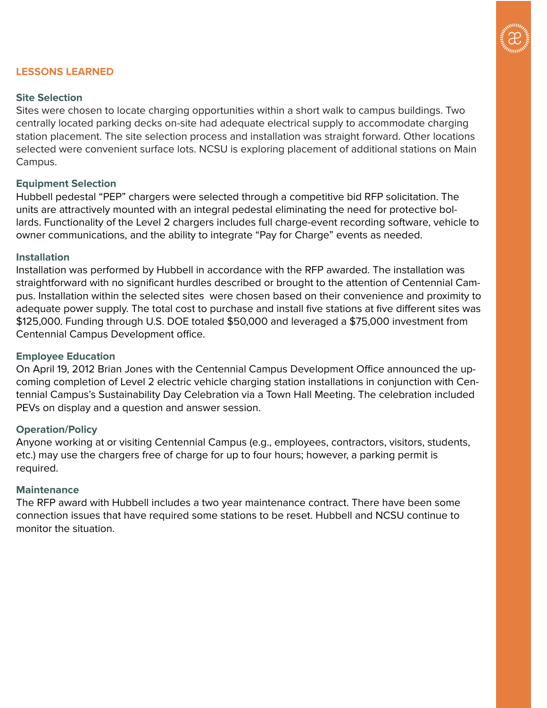

## **LESSONS LEARNED**

## **Site Selection**

Sites were chosen to locate charging opportunities within a short walk to campus buildings. Two centrally located parking decks on-site had adequate electrical supply to accommodate charging station placement. The site selection process and installation was straight forward. Other locations selected were convenient surface lots. NCSU is exploring placement of additional stations on Main Campus.

## **Equipment Selection**

Hubbell pedestal "PEP" chargers were selected through a competitive bid RFP solicitation. The units are attractively mounted with an integral pedestal eliminating the need for protective bollards. Functionality of the Level 2 chargers includes full charge-event recording software, vehicle to owner communications, and the ability to integrate "Pay for Charge" events as needed.

#### **Installation**

Installation was performed by Hubbell in accordance with the RFP awarded. The installation was straightforward with no significant hurdles described or brought to the attention of Centennial Campus. Installation within the selected sites were chosen based on their convenience and proximity to adequate power supply. The total cost to purchase and install five stations at five different sites was \$125,000. Funding through U.S. DOE totaled \$50,000 and leveraged a \$75,000 investment from Centennial Campus Development office.

## **Employee Education**

On April 19, 2012 Brian Jones with the Centennial Campus Development Office announced the upcoming completion of Level 2 electric vehicle charging station installations in conjunction with Centennial Campus's Sustainability Day Celebration via a Town Hall Meeting. The celebration included PEVs on display and a question and answer session.

## **Operation/Policy**

Anyone working at or visiting Centennial Campus (e.g., employees, contractors, visitors, students, etc.) may use the chargers free of charge for up to four hours; however, a parking permit is required.

## **Maintenance**

The RFP award with Hubbell includes a two year maintenance contract. There have been some connection issues that have required some stations to be reset. Hubbell and NCSU continue to monitor the situation.